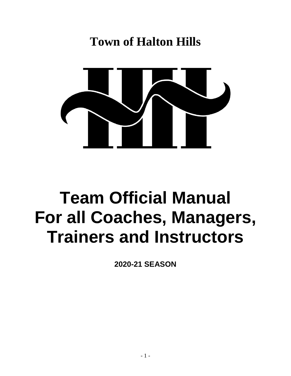# **Town of Halton Hills**



# **Team Official Manual For all Coaches, Managers, Trainers and Instructors**

**2020-21 SEASON**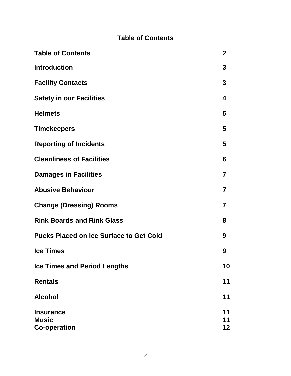## **Table of Contents**

| <b>Table of Contents</b>                                | $\mathbf{2}$   |
|---------------------------------------------------------|----------------|
| <b>Introduction</b>                                     | 3              |
| <b>Facility Contacts</b>                                | $\mathbf 3$    |
| <b>Safety in our Facilities</b>                         | 4              |
| <b>Helmets</b>                                          | 5              |
| <b>Timekeepers</b>                                      | 5              |
| <b>Reporting of Incidents</b>                           | 5              |
| <b>Cleanliness of Facilities</b>                        | 6              |
| <b>Damages in Facilities</b>                            | 7              |
| <b>Abusive Behaviour</b>                                | 7              |
| <b>Change (Dressing) Rooms</b>                          | $\overline{7}$ |
| <b>Rink Boards and Rink Glass</b>                       | 8              |
| <b>Pucks Placed on Ice Surface to Get Cold</b>          | 9              |
| <b>Ice Times</b>                                        | 9              |
| <b>Ice Times and Period Lengths</b>                     | 10             |
| <b>Rentals</b>                                          | 11             |
| <b>Alcohol</b>                                          | 11             |
| <b>Insurance</b><br><b>Music</b><br><b>Co-operation</b> | 11<br>11<br>12 |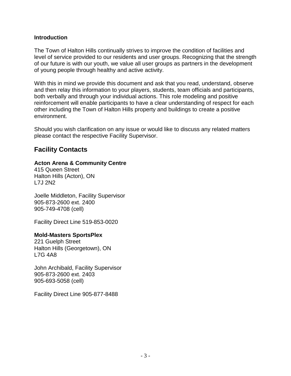#### **Introduction**

The Town of Halton Hills continually strives to improve the condition of facilities and level of service provided to our residents and user groups. Recognizing that the strength of our future is with our youth, we value all user groups as partners in the development of young people through healthy and active activity.

With this in mind we provide this document and ask that you read, understand, observe and then relay this information to your players, students, team officials and participants, both verbally and through your individual actions. This role modeling and positive reinforcement will enable participants to have a clear understanding of respect for each other including the Town of Halton Hills property and buildings to create a positive environment.

Should you wish clarification on any issue or would like to discuss any related matters please contact the respective Facility Supervisor.

### **Facility Contacts**

#### **Acton Arena & Community Centre**

415 Queen Street Halton Hills (Acton), ON L7J 2N2

Joelle Middleton, Facility Supervisor 905-873-2600 ext. 2400 905-749-4708 (cell)

Facility Direct Line 519-853-0020

#### **Mold-Masters SportsPlex**

221 Guelph Street Halton Hills (Georgetown), ON L7G 4A8

John Archibald, Facility Supervisor 905-873-2600 ext. 2403 905-693-5058 (cell)

Facility Direct Line 905-877-8488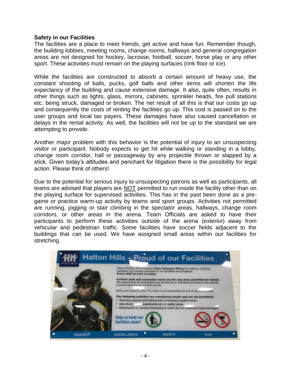#### **Safety in our Facilities**

The facilities are a place to meet friends, get active and have fun. Remember though, the building lobbies, meeting rooms, change rooms, hallways and general congregation areas are not designed for hockey, lacrosse, football, soccer, horse play or any other sport. These activities must remain on the playing surfaces (rink floor or ice).

While the facilities are constructed to absorb a certain amount of heavy use, the constant shooting of balls, pucks, golf balls and other items will shorten the life expectancy of the building and cause extensive damage. It also, quite often, results in other things such as lights, glass, mirrors, cabinets, sprinkler heads, fire pull stations etc. being struck, damaged or broken. The net result of all this is that our costs go up and consequently the costs of renting the facilities go up. This cost is passed on to the user groups and local tax payers. These damages have also caused cancellation or delays in the rental activity. As well, the facilities will not be up to the standard we are attempting to provide.

Another major problem with this behavior is the potential of injury to an unsuspecting visitor or participant. Nobody expects to get hit while walking or standing in a lobby, change room corridor, hall or passageway by any projectile thrown or slapped by a stick. Given today's attitudes and penchant for litigation there is the possibility for legal action. Please think of others!

Due to the potential for serious injury to unsuspecting patrons as well as participants, all teams are advised that players are NOT permitted to run inside the facility other than on the playing surface for supervised activities. This has in the past been done as a pregame or practice warm-up activity by teams and sport groups. Activities not permitted are running, jogging or stair climbing in the spectator areas, hallways, change room corridors, or other areas in the arena. Team Officials are asked to have their participants to perform these activities outside of the arena (exterior) away from vehicular and pedestrian traffic. Some facilities have soccer fields adjacent to the buildings that can be used. We have assigned small areas within our facilities for stretching.

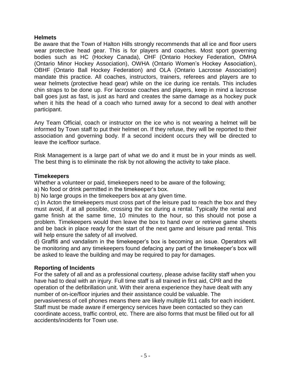#### **Helmets**

Be aware that the Town of Halton Hills strongly recommends that all ice and floor users wear protective head gear. This is for players and coaches. Most sport governing bodies such as HC (Hockey Canada), OHF (Ontario Hockey Federation, OMHA (Ontario Minor Hockey Association), OWHA (Ontario Women's Hockey Association), OBHF (Ontario Ball Hockey Federation) and OLA (Ontario Lacrosse Association) mandate this practice. All coaches, instructors, trainers, referees and players are to wear helmets (protective head gear) while on the ice during ice rentals. This includes chin straps to be done up. For lacrosse coaches and players, keep in mind a lacrosse ball goes just as fast, is just as hard and creates the same damage as a hockey puck when it hits the head of a coach who turned away for a second to deal with another participant.

Any Team Official, coach or instructor on the ice who is not wearing a helmet will be informed by Town staff to put their helmet on. If they refuse, they will be reported to their association and governing body. If a second incident occurs they will be directed to leave the ice/floor surface.

Risk Management is a large part of what we do and it must be in your minds as well. The best thing is to eliminate the risk by not allowing the activity to take place.

#### **Timekeepers**

Whether a volunteer or paid, timekeepers need to be aware of the following;

a) No food or drink permitted in the timekeeper's box.

b) No large groups in the timekeepers box at any given time.

c) In Acton the timekeepers must cross part of the leisure pad to reach the box and they must avoid, if at all possible, crossing the ice during a rental. Typically the rental and game finish at the same time, 10 minutes to the hour, so this should not pose a problem. Timekeepers would then leave the box to hand over or retrieve game sheets and be back in place ready for the start of the next game and leisure pad rental. This will help ensure the safety of all involved.

d) Graffiti and vandalism in the timekeeper's box is becoming an issue. Operators will be monitoring and any timekeepers found defacing any part of the timekeeper's box will be asked to leave the building and may be required to pay for damages.

#### **Reporting of Incidents**

For the safety of all and as a professional courtesy, please advise facility staff when you have had to deal with an injury. Full time staff is all trained in first aid, CPR and the operation of the defibrillation unit. With their arena experience they have dealt with any number of on-ice/floor injuries and their assistance could be valuable. The pervasiveness of cell phones means there are likely multiple 911 calls for each incident. Staff must be made aware if emergency services have been contacted so they can coordinate access, traffic control, etc. There are also forms that must be filled out for all accidents/incidents for Town use.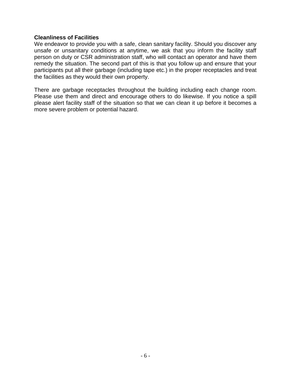#### **Cleanliness of Facilities**

We endeavor to provide you with a safe, clean sanitary facility. Should you discover any unsafe or unsanitary conditions at anytime, we ask that you inform the facility staff person on duty or CSR administration staff, who will contact an operator and have them remedy the situation. The second part of this is that you follow up and ensure that your participants put all their garbage (including tape etc.) in the proper receptacles and treat the facilities as they would their own property.

There are garbage receptacles throughout the building including each change room. Please use them and direct and encourage others to do likewise. If you notice a spill please alert facility staff of the situation so that we can clean it up before it becomes a more severe problem or potential hazard.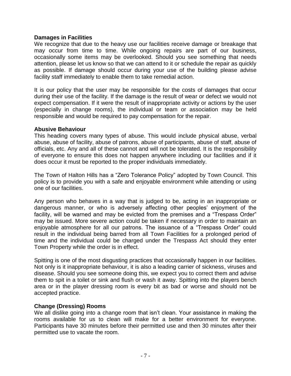#### **Damages in Facilities**

We recognize that due to the heavy use our facilities receive damage or breakage that may occur from time to time. While ongoing repairs are part of our business, occasionally some items may be overlooked. Should you see something that needs attention, please let us know so that we can attend to it or schedule the repair as quickly as possible. If damage should occur during your use of the building please advise facility staff immediately to enable them to take remedial action.

It is our policy that the user may be responsible for the costs of damages that occur during their use of the facility. If the damage is the result of wear or defect we would not expect compensation. If it were the result of inappropriate activity or actions by the user (especially in change rooms), the individual or team or association may be held responsible and would be required to pay compensation for the repair.

#### **Abusive Behaviour**

This heading covers many types of abuse. This would include physical abuse, verbal abuse, abuse of facility, abuse of patrons, abuse of participants, abuse of staff, abuse of officials, etc. Any and all of these cannot and will not be tolerated. It is the responsibility of everyone to ensure this does not happen anywhere including our facilities and if it does occur it must be reported to the proper individuals immediately.

The Town of Halton Hills has a "Zero Tolerance Policy" adopted by Town Council. This policy is to provide you with a safe and enjoyable environment while attending or using one of our facilities.

Any person who behaves in a way that is judged to be, acting in an inappropriate or dangerous manner, or who is adversely affecting other peoples' enjoyment of the facility, will be warned and may be evicted from the premises and a "Trespass Order" may be issued. More severe action could be taken if necessary in order to maintain an enjoyable atmosphere for all our patrons. The issuance of a "Trespass Order" could result in the individual being barred from all Town Facilities for a prolonged period of time and the individual could be charged under the Trespass Act should they enter Town Property while the order is in effect.

Spitting is one of the most disgusting practices that occasionally happen in our facilities. Not only is it inappropriate behaviour, it is also a leading carrier of sickness, viruses and disease. Should you see someone doing this, we expect you to correct them and advise them to spit in a toilet or sink and flush or wash it away. Spitting into the players bench area or in the player dressing room is every bit as bad or worse and should not be accepted practice.

#### **Change (Dressing) Rooms**

We all dislike going into a change room that isn't clean. Your assistance in making the rooms available for us to clean will make for a better environment for everyone. Participants have 30 minutes before their permitted use and then 30 minutes after their permitted use to vacate the room.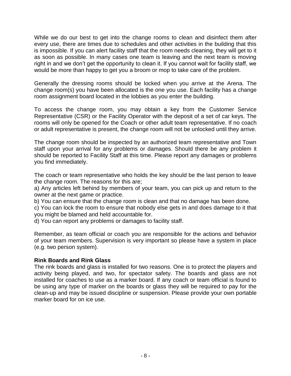While we do our best to get into the change rooms to clean and disinfect them after every use, there are times due to schedules and other activities in the building that this is impossible. If you can alert facility staff that the room needs cleaning, they will get to it as soon as possible. In many cases one team is leaving and the next team is moving right in and we don't get the opportunity to clean it. If you cannot wait for facility staff, we would be more than happy to get you a broom or mop to take care of the problem.

Generally the dressing rooms should be locked when you arrive at the Arena. The change room(s) you have been allocated is the one you use. Each facility has a change room assignment board located in the lobbies as you enter the building.

To access the change room, you may obtain a key from the Customer Service Representative (CSR) or the Facility Operator with the deposit of a set of car keys. The rooms will only be opened for the Coach or other adult team representative. If no coach or adult representative is present, the change room will not be unlocked until they arrive.

The change room should be inspected by an authorized team representative and Town staff upon your arrival for any problems or damages. Should there be any problem it should be reported to Facility Staff at this time. Please report any damages or problems you find immediately.

The coach or team representative who holds the key should be the last person to leave the change room. The reasons for this are;

a) Any articles left behind by members of your team, you can pick up and return to the owner at the next game or practice.

b) You can ensure that the change room is clean and that no damage has been done.

c) You can lock the room to ensure that nobody else gets in and does damage to it that you might be blamed and held accountable for.

d) You can report any problems or damages to facility staff.

Remember, as team official or coach you are responsible for the actions and behavior of your team members. Supervision is very important so please have a system in place (e.g. two person system).

#### **Rink Boards and Rink Glass**

The rink boards and glass is installed for two reasons. One is to protect the players and activity being played, and two, for spectator safety. The boards and glass are not installed for coaches to use as a marker board. If any coach or team official is found to be using any type of marker on the boards or glass they will be required to pay for the clean-up and may be issued discipline or suspension. Please provide your own portable marker board for on ice use.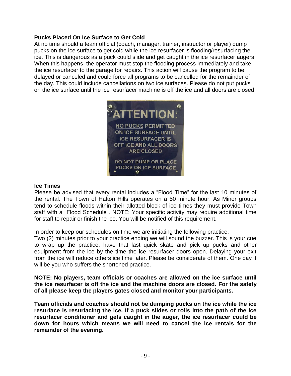#### **Pucks Placed On Ice Surface to Get Cold**

At no time should a team official (coach, manager, trainer, instructor or player) dump pucks on the ice surface to get cold while the ice resurfacer is flooding/resurfacing the ice. This is dangerous as a puck could slide and get caught in the ice resurfacer augers. When this happens, the operator must stop the flooding process immediately and take the ice resurfacer to the garage for repairs. This action will cause the program to be delayed or canceled and could force all programs to be cancelled for the remainder of the day. This could include cancellations on two ice surfaces. Please do not put pucks on the ice surface until the ice resurfacer machine is off the ice and all doors are closed.



#### **Ice Times**

Please be advised that every rental includes a "Flood Time" for the last 10 minutes of the rental. The Town of Halton Hills operates on a 50 minute hour. As Minor groups tend to schedule floods within their allotted block of ice times they must provide Town staff with a "Flood Schedule". NOTE: Your specific activity may require additional time for staff to repair or finish the ice. You will be notified of this requirement.

In order to keep our schedules on time we are initiating the following practice:

Two (2) minutes prior to your practice ending we will sound the buzzer. This is your cue to wrap up the practice, have that last quick skate and pick up pucks and other equipment from the ice by the time the ice resurfacer doors open. Delaying your exit from the ice will reduce others ice time later. Please be considerate of them. One day it will be you who suffers the shortened practice.

**NOTE: No players, team officials or coaches are allowed on the ice surface until the ice resurfacer is off the ice and the machine doors are closed. For the safety of all please keep the players gates closed and monitor your participants.**

**Team officials and coaches should not be dumping pucks on the ice while the ice resurface is resurfacing the ice. If a puck slides or rolls into the path of the ice resurfacer conditioner and gets caught in the auger, the ice resurfacer could be down for hours which means we will need to cancel the ice rentals for the remainder of the evening.**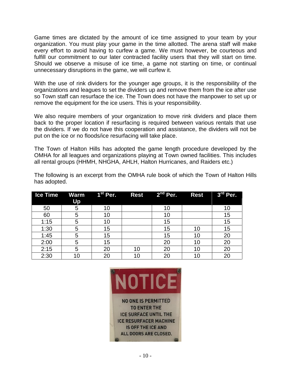Game times are dictated by the amount of ice time assigned to your team by your organization. You must play your game in the time allotted. The arena staff will make every effort to avoid having to curfew a game. We must however, be courteous and fulfill our commitment to our later contracted facility users that they will start on time. Should we observe a misuse of ice time, a game not starting on time, or continual unnecessary disruptions in the game, we will curfew it.

With the use of rink dividers for the younger age groups, it is the responsibility of the organizations and leagues to set the dividers up and remove them from the ice after use so Town staff can resurface the ice. The Town does not have the manpower to set up or remove the equipment for the ice users. This is your responsibility.

We also require members of your organization to move rink dividers and place them back to the proper location if resurfacing is required between various rentals that use the dividers. If we do not have this cooperation and assistance, the dividers will not be put on the ice or no floods/ice resurfacing will take place.

The Town of Halton Hills has adopted the game length procedure developed by the OMHA for all leagues and organizations playing at Town owned facilities. This includes all rental groups (HHMH, NHGHA, AHLH, Halton Hurricanes, and Raiders etc.)

The following is an excerpt from the OMHA rule book of which the Town of Halton Hills has adopted.

| <b>Ice Time</b> | Up | Warm 1 <sup>st</sup> Per. | <b>Rest</b> | $2nd$ Per. | <b>Rest</b> | $3rd$ Per. |
|-----------------|----|---------------------------|-------------|------------|-------------|------------|
| 50              | 5  | 10                        |             | 10         |             | 10         |
| 60              | 5  | 10                        |             | 10         |             | 15         |
| 1:15            | 5  | 10                        |             | 15         |             | 15         |
| 1:30            | 5  | 15                        |             | 15         | 10          | 15         |
| 1:45            | 5  | 15                        |             | 15         | 10          | 20         |
| 2:00            | 5  | 15                        |             | 20         | 10          | 20         |
| 2:15            | 5  | 20                        |             | 20         | 10          | 20         |
| 2:30            | 10 | 20                        |             | 20         | 10          |            |

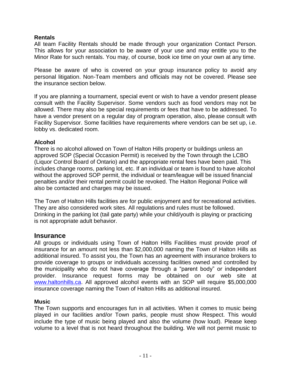#### **Rentals**

All team Facility Rentals should be made through your organization Contact Person. This allows for your association to be aware of your use and may entitle you to the Minor Rate for such rentals. You may, of course, book ice time on your own at any time.

Please be aware of who is covered on your group insurance policy to avoid any personal litigation. Non-Team members and officials may not be covered. Please see the insurance section below.

If you are planning a tournament, special event or wish to have a vendor present please consult with the Facility Supervisor. Some vendors such as food vendors may not be allowed. There may also be special requirements or fees that have to be addressed. To have a vendor present on a regular day of program operation, also, please consult with Facility Supervisor. Some facilities have requirements where vendors can be set up, i.e. lobby vs. dedicated room.

#### **Alcohol**

There is no alcohol allowed on Town of Halton Hills property or buildings unless an approved SOP (Special Occasion Permit) is received by the Town through the LCBO (Liquor Control Board of Ontario) and the appropriate rental fees have been paid. This includes change rooms, parking lot, etc. If an individual or team is found to have alcohol without the approved SOP permit, the individual or team/league will be issued financial penalties and/or their rental permit could be revoked. The Halton Regional Police will also be contacted and charges may be issued.

The Town of Halton Hills facilities are for public enjoyment and for recreational activities. They are also considered work sites. All regulations and rules must be followed. Drinking in the parking lot (tail gate party) while your child/youth is playing or practicing is not appropriate adult behavior.

#### **Insurance**

All groups or individuals using Town of Halton Hills Facilities must provide proof of insurance for an amount not less than \$2,000,000 naming the Town of Halton Hills as additional insured. To assist you, the Town has an agreement with insurance brokers to provide coverage to groups or individuals accessing facilities owned and controlled by the municipality who do not have coverage through a "parent body" or independent provider. Insurance request forms may be obtained on our web site at [www.haltonhills.ca.](http://www.haltonhills.ca/) All approved alcohol events with an SOP will require \$5,000,000 insurance coverage naming the Town of Halton Hills as additional insured.

#### **Music**

The Town supports and encourages fun in all activities. When it comes to music being played in our facilities and/or Town parks, people must show Respect. This would include the type of music being played and also the volume (how loud). Please keep volume to a level that is not heard throughout the building. We will not permit music to